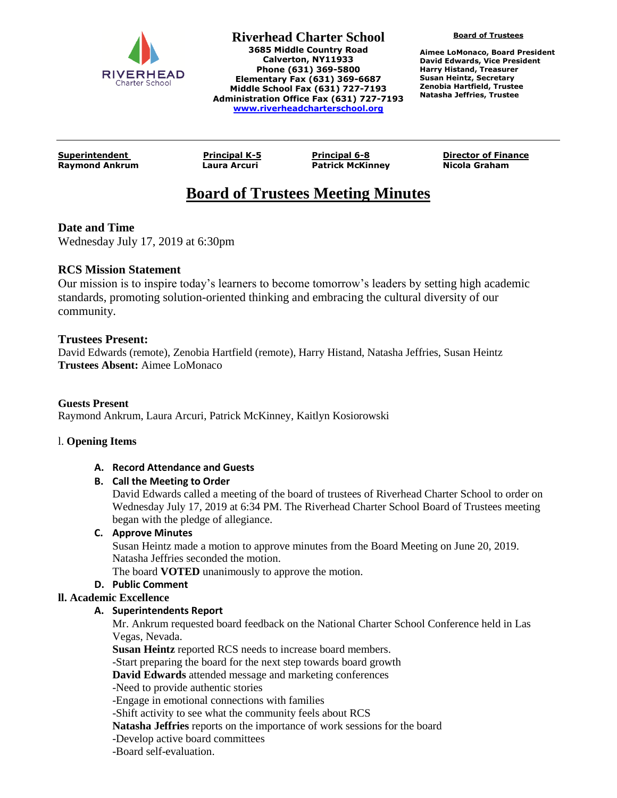

**Riverhead Charter School 3685 Middle Country Road Calverton, NY11933 Phone (631) 369-5800 Elementary Fax (631) 369-6687 Middle School Fax (631) 727-7193 Administration Office Fax (631) 727-7193 [www.riverheadcharterschool.org](http://www.riverheadcharterschool.org/)**

**Board of Trustees**

**Aimee LoMonaco, Board President David Edwards, Vice President Harry Histand, Treasurer Susan Heintz, Secretary Zenobia Hartfield, Trustee Natasha Jeffries, Trustee**

**Raymond Ankrum Laura Arcuri Patrick McKinney Nicola Graham**

**Superintendent Principal K-5 Principal 6-8 Director of Finance**

# **Board of Trustees Meeting Minutes**

# **Date and Time**

Wednesday July 17, 2019 at 6:30pm

# **RCS Mission Statement**

Our mission is to inspire today's learners to become tomorrow's leaders by setting high academic standards, promoting solution-oriented thinking and embracing the cultural diversity of our community.

# **Trustees Present:**

David Edwards (remote), Zenobia Hartfield (remote), Harry Histand, Natasha Jeffries, Susan Heintz **Trustees Absent:** Aimee LoMonaco

# **Guests Present**

Raymond Ankrum, Laura Arcuri, Patrick McKinney, Kaitlyn Kosiorowski

# l. **Opening Items**

# **A. Record Attendance and Guests**

# **B. Call the Meeting to Order**

David Edwards called a meeting of the board of trustees of Riverhead Charter School to order on Wednesday July 17, 2019 at 6:34 PM. The Riverhead Charter School Board of Trustees meeting began with the pledge of allegiance.

# **C. Approve Minutes**

Susan Heintz made a motion to approve minutes from the Board Meeting on June 20, 2019. Natasha Jeffries seconded the motion.

The board **VOTED** unanimously to approve the motion.

# **D. Public Comment**

# **ll. Academic Excellence**

# **A. Superintendents Report**

Mr. Ankrum requested board feedback on the National Charter School Conference held in Las Vegas, Nevada.

**Susan Heintz** reported RCS needs to increase board members.

-Start preparing the board for the next step towards board growth

**David Edwards** attended message and marketing conferences

-Need to provide authentic stories

-Engage in emotional connections with families

-Shift activity to see what the community feels about RCS

**Natasha Jeffries** reports on the importance of work sessions for the board

-Develop active board committees

-Board self-evaluation.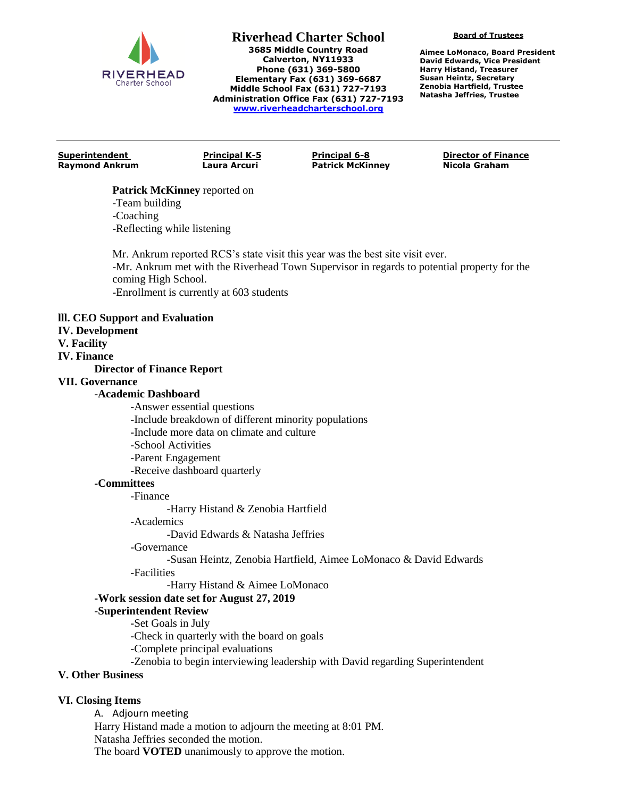

#### **Riverhead Charter School 3685 Middle Country Road Calverton, NY11933 Phone (631) 369-5800 Elementary Fax (631) 369-6687 Middle School Fax (631) 727-7193 Administration Office Fax (631) 727-7193 [www.riverheadcharterschool.org](http://www.riverheadcharterschool.org/)**

**Board of Trustees**

**Aimee LoMonaco, Board President David Edwards, Vice President Harry Histand, Treasurer Susan Heintz, Secretary Zenobia Hartfield, Trustee Natasha Jeffries, Trustee**

**Raymond Ankrum Laura Arcuri Patrick McKinney Nicola Graham**

**Superintendent Principal K-5 Principal 6-8 Director of Finance**

### **Patrick McKinney** reported on

-Team building -Coaching -Reflecting while listening

Mr. Ankrum reported RCS's state visit this year was the best site visit ever. -Mr. Ankrum met with the Riverhead Town Supervisor in regards to potential property for the coming High School. -Enrollment is currently at 603 students

### **lll. CEO Support and Evaluation**

- **IV. Development**
- **V. Facility**

### **IV. Finance**

# **Director of Finance Report**

# **VII. Governance**

### -**Academic Dashboard**

- -Answer essential questions
- -Include breakdown of different minority populations
- -Include more data on climate and culture
- -School Activities
- -Parent Engagement
- -Receive dashboard quarterly

# **-Committees**

-Finance

-Harry Histand & Zenobia Hartfield

-Academics

-David Edwards & Natasha Jeffries

-Governance

-Susan Heintz, Zenobia Hartfield, Aimee LoMonaco & David Edwards

-Facilities

-Harry Histand & Aimee LoMonaco

# **-Work session date set for August 27, 2019**

**-Superintendent Review**

-Set Goals in July

-Check in quarterly with the board on goals

-Complete principal evaluations

-Zenobia to begin interviewing leadership with David regarding Superintendent

# **V. Other Business**

# **VI. Closing Items**

A. Adjourn meeting Harry Histand made a motion to adjourn the meeting at 8:01 PM. Natasha Jeffries seconded the motion. The board **VOTED** unanimously to approve the motion.